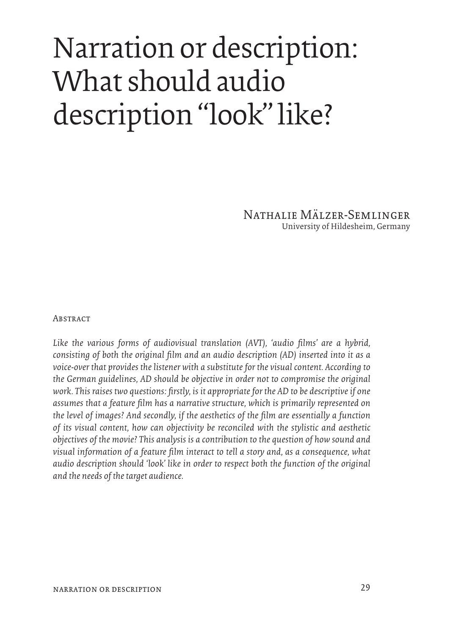## Narration or description: What should audio description "look" like?

Nathalie Mälzer-Semlinger University of Hildesheim, Germany

## **ABSTRACT**

Like the various forms of audiovisual translation (AVT), 'audio films' are a hybrid, *consisting of both the original film and an audio description (AD) inserted into it as a voice-over that provides the listener with a substitute for the visual content. According to the German guidelines, AD should be objective in order not to compromise the original work. This raises two questions: firstly, is it appropriate for the AD to be descriptive if one assumes that a feature film has a narrative structure, which is primarily represented on the level of images? And secondly, if the aesthetics of the film are essentially a function of its visual content, how can objectivity be reconciled with the stylistic and aesthetic objectives of the movie? This analysis is a contribution to the question of how sound and visual information of a feature film interact to tell a story and, as a consequence, what audio description should 'look' like in order to respect both the function of the original and the needs of the target audience.*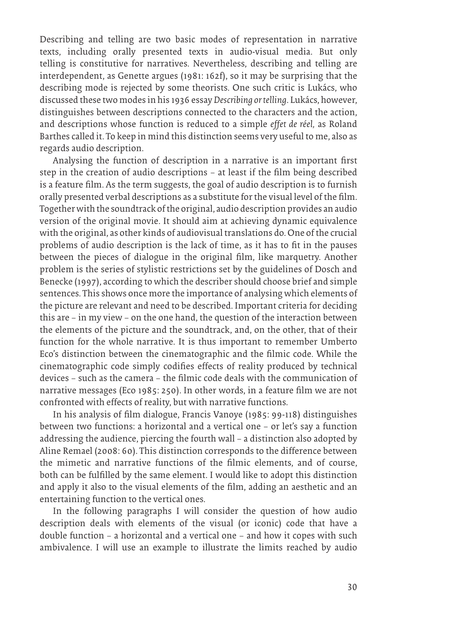Describing and telling are two basic modes of representation in narrative texts, including orally presented texts in audio-visual media. But only telling is constitutive for narratives. Nevertheless, describing and telling are interdependent, as Genette argues (1981: 162f), so it may be surprising that the describing mode is rejected by some theorists. One such critic is Lukács, who discussed these two modes in his 1936 essay *Describing or telling*. Lukács, however, distinguishes between descriptions connected to the characters and the action, and descriptions whose function is reduced to a simple *effet de réel,* as Roland Barthes called it. To keep in mind this distinction seems very useful to me, also as regards audio description.

Analysing the function of description in a narrative is an important first step in the creation of audio descriptions – at least if the film being described is a feature film. As the term suggests, the goal of audio description is to furnish orally presented verbal descriptions as a substitute for the visual level of the film. Together with the soundtrack of the original, audio description provides an audio version of the original movie. It should aim at achieving dynamic equivalence with the original, as other kinds of audiovisual translations do. One of the crucial problems of audio description is the lack of time, as it has to fit in the pauses between the pieces of dialogue in the original film, like marquetry. Another problem is the series of stylistic restrictions set by the guidelines of Dosch and Benecke (1997), according to which the describer should choose brief and simple sentences. This shows once more the importance of analysing which elements of the picture are relevant and need to be described. Important criteria for deciding this are – in my view – on the one hand, the question of the interaction between the elements of the picture and the soundtrack, and, on the other, that of their function for the whole narrative. It is thus important to remember Umberto Eco's distinction between the cinematographic and the filmic code. While the cinematographic code simply codifies effects of reality produced by technical devices – such as the camera – the filmic code deals with the communication of narrative messages (Eco 1985: 250). In other words, in a feature film we are not confronted with effects of reality, but with narrative functions.

In his analysis of film dialogue, Francis Vanoye (1985: 99-118) distinguishes between two functions: a horizontal and a vertical one – or let's say a function addressing the audience, piercing the fourth wall – a distinction also adopted by Aline Remael (2008: 60). This distinction corresponds to the difference between the mimetic and narrative functions of the filmic elements, and of course, both can be fulfilled by the same element. I would like to adopt this distinction and apply it also to the visual elements of the film, adding an aesthetic and an entertaining function to the vertical ones.

In the following paragraphs I will consider the question of how audio description deals with elements of the visual (or iconic) code that have a double function – a horizontal and a vertical one – and how it copes with such ambivalence. I will use an example to illustrate the limits reached by audio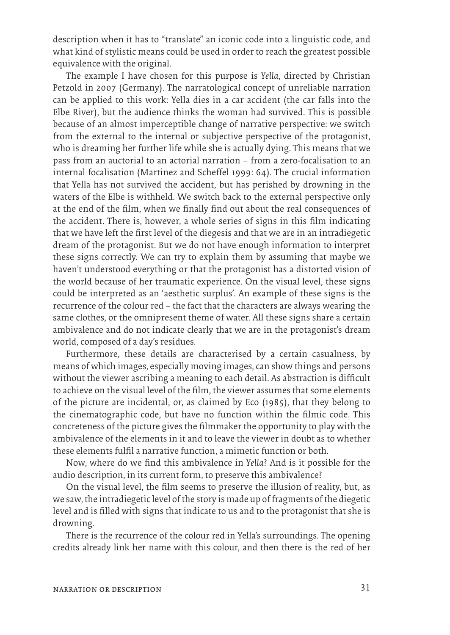description when it has to "translate" an iconic code into a linguistic code, and what kind of stylistic means could be used in order to reach the greatest possible equivalence with the original.

The example I have chosen for this purpose is *Yella*, directed by Christian Petzold in 2007 (Germany). The narratological concept of unreliable narration can be applied to this work: Yella dies in a car accident (the car falls into the Elbe River), but the audience thinks the woman had survived. This is possible because of an almost imperceptible change of narrative perspective: we switch from the external to the internal or subjective perspective of the protagonist, who is dreaming her further life while she is actually dying. This means that we pass from an auctorial to an actorial narration – from a zero-focalisation to an internal focalisation (Martinez and Scheffel 1999: 64). The crucial information that Yella has not survived the accident, but has perished by drowning in the waters of the Elbe is withheld. We switch back to the external perspective only at the end of the film, when we finally find out about the real consequences of the accident. There is, however, a whole series of signs in this film indicating that we have left the first level of the diegesis and that we are in an intradiegetic dream of the protagonist. But we do not have enough information to interpret these signs correctly. We can try to explain them by assuming that maybe we haven't understood everything or that the protagonist has a distorted vision of the world because of her traumatic experience. On the visual level, these signs could be interpreted as an 'aesthetic surplus'. An example of these signs is the recurrence of the colour red – the fact that the characters are always wearing the same clothes, or the omnipresent theme of water. All these signs share a certain ambivalence and do not indicate clearly that we are in the protagonist's dream world, composed of a day's residues.

Furthermore, these details are characterised by a certain casualness, by means of which images, especially moving images, can show things and persons without the viewer ascribing a meaning to each detail. As abstraction is difficult to achieve on the visual level of the film, the viewer assumes that some elements of the picture are incidental, or, as claimed by Eco (1985), that they belong to the cinematographic code, but have no function within the filmic code. This concreteness of the picture gives the filmmaker the opportunity to play with the ambivalence of the elements in it and to leave the viewer in doubt as to whether these elements fulfil a narrative function, a mimetic function or both.

Now, where do we find this ambivalence in *Yella*? And is it possible for the audio description, in its current form, to preserve this ambivalence?

On the visual level, the film seems to preserve the illusion of reality, but, as we saw, the intradiegetic level of the story is made up of fragments of the diegetic level and is filled with signs that indicate to us and to the protagonist that she is drowning.

There is the recurrence of the colour red in Yella's surroundings. The opening credits already link her name with this colour, and then there is the red of her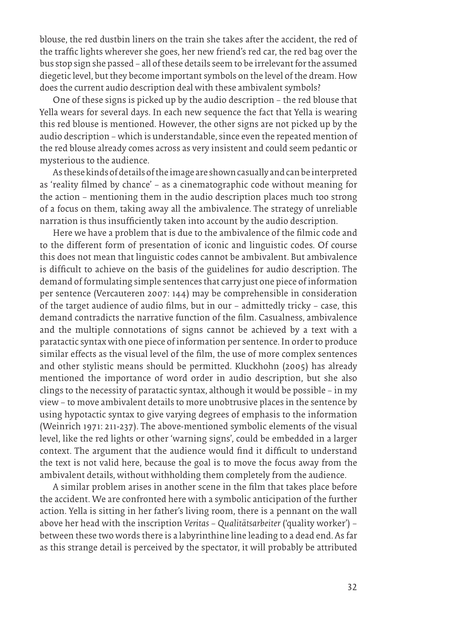blouse, the red dustbin liners on the train she takes after the accident, the red of the traffic lights wherever she goes, her new friend's red car, the red bag over the bus stop sign she passed – all of these details seem to be irrelevant for the assumed diegetic level, but they become important symbols on the level of the dream. How does the current audio description deal with these ambivalent symbols?

One of these signs is picked up by the audio description – the red blouse that Yella wears for several days. In each new sequence the fact that Yella is wearing this red blouse is mentioned. However, the other signs are not picked up by the audio description – which is understandable, since even the repeated mention of the red blouse already comes across as very insistent and could seem pedantic or mysterious to the audience.

As these kinds of details of the image are shown casually and can be interpreted as 'reality filmed by chance' – as a cinematographic code without meaning for the action – mentioning them in the audio description places much too strong of a focus on them, taking away all the ambivalence. The strategy of unreliable narration is thus insufficiently taken into account by the audio description.

Here we have a problem that is due to the ambivalence of the filmic code and to the different form of presentation of iconic and linguistic codes. Of course this does not mean that linguistic codes cannot be ambivalent. But ambivalence is difficult to achieve on the basis of the guidelines for audio description. The demand of formulating simple sentences that carry just one piece of information per sentence (Vercauteren 2007: 144) may be comprehensible in consideration of the target audience of audio films, but in our – admittedly tricky – case, this demand contradicts the narrative function of the film. Casualness, ambivalence and the multiple connotations of signs cannot be achieved by a text with a paratactic syntax with one piece of information per sentence. In order to produce similar effects as the visual level of the film, the use of more complex sentences and other stylistic means should be permitted. Kluckhohn (2005) has already mentioned the importance of word order in audio description, but she also clings to the necessity of paratactic syntax, although it would be possible – in my view – to move ambivalent details to more unobtrusive places in the sentence by using hypotactic syntax to give varying degrees of emphasis to the information (Weinrich 1971: 211-237). The above-mentioned symbolic elements of the visual level, like the red lights or other 'warning signs', could be embedded in a larger context. The argument that the audience would find it difficult to understand the text is not valid here, because the goal is to move the focus away from the ambivalent details, without withholding them completely from the audience.

A similar problem arises in another scene in the film that takes place before the accident. We are confronted here with a symbolic anticipation of the further action. Yella is sitting in her father's living room, there is a pennant on the wall above her head with the inscription *Veritas – Qualitätsarbeiter* ('quality worker') – between these two words there is a labyrinthine line leading to a dead end. As far as this strange detail is perceived by the spectator, it will probably be attributed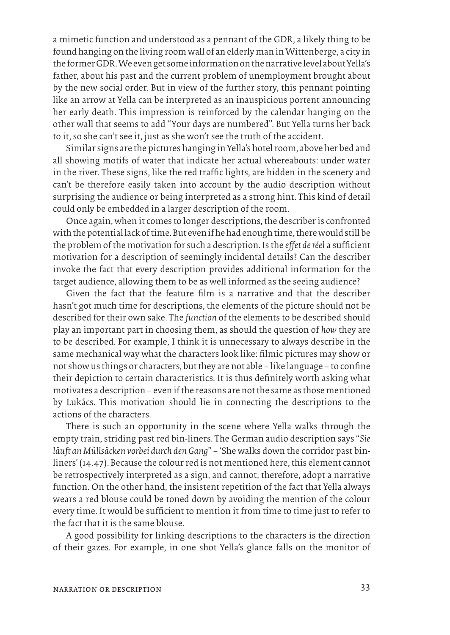a mimetic function and understood as a pennant of the GDR, a likely thing to be found hanging on the living room wall of an elderly man in Wittenberge, a city in the former GDR. We even get some information on the narrative level about Yella's father, about his past and the current problem of unemployment brought about by the new social order. But in view of the further story, this pennant pointing like an arrow at Yella can be interpreted as an inauspicious portent announcing her early death. This impression is reinforced by the calendar hanging on the other wall that seems to add "Your days are numbered". But Yella turns her back to it, so she can't see it, just as she won't see the truth of the accident.

Similar signs are the pictures hanging in Yella's hotel room, above her bed and all showing motifs of water that indicate her actual whereabouts: under water in the river. These signs, like the red traffic lights, are hidden in the scenery and can't be therefore easily taken into account by the audio description without surprising the audience or being interpreted as a strong hint. This kind of detail could only be embedded in a larger description of the room.

Once again, when it comes to longer descriptions, the describer is confronted with the potential lack of time. But even if he had enough time, there would still be the problem of the motivation for such a description. Is the *effet de réel* a sufficient motivation for a description of seemingly incidental details? Can the describer invoke the fact that every description provides additional information for the target audience, allowing them to be as well informed as the seeing audience?

Given the fact that the feature film is a narrative and that the describer hasn't got much time for descriptions, the elements of the picture should not be described for their own sake. The *function* of the elements to be described should play an important part in choosing them, as should the question of *how* they are to be described. For example, I think it is unnecessary to always describe in the same mechanical way what the characters look like: filmic pictures may show or not show us things or characters, but they are not able – like language – to confine their depiction to certain characteristics. It is thus definitely worth asking what motivates a description – even if the reasons are not the same as those mentioned by Lukács. This motivation should lie in connecting the descriptions to the actions of the characters.

There is such an opportunity in the scene where Yella walks through the empty train, striding past red bin-liners. The German audio description says "*Sie läuft an Müllsäcken vorbei durch den Gang*" – 'She walks down the corridor past binliners' (14.47). Because the colour red is not mentioned here, this element cannot be retrospectively interpreted as a sign, and cannot, therefore, adopt a narrative function. On the other hand, the insistent repetition of the fact that Yella always wears a red blouse could be toned down by avoiding the mention of the colour every time. It would be sufficient to mention it from time to time just to refer to the fact that it is the same blouse.

A good possibility for linking descriptions to the characters is the direction of their gazes. For example, in one shot Yella's glance falls on the monitor of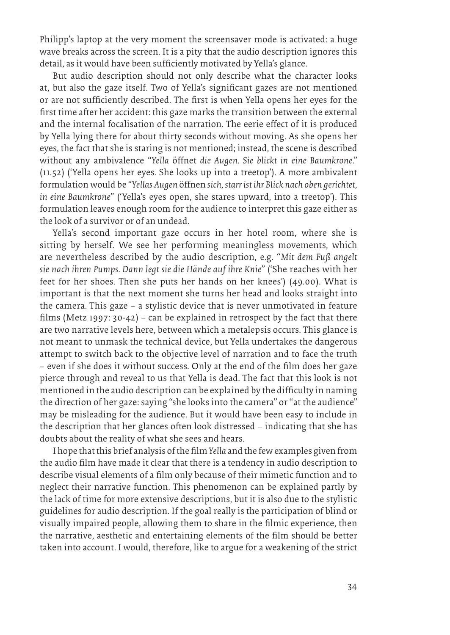Philipp's laptop at the very moment the screensaver mode is activated: a huge wave breaks across the screen. It is a pity that the audio description ignores this detail, as it would have been sufficiently motivated by Yella's glance.

But audio description should not only describe what the character looks at, but also the gaze itself. Two of Yella's significant gazes are not mentioned or are not sufficiently described. The first is when Yella opens her eyes for the first time after her accident: this gaze marks the transition between the external and the internal focalisation of the narration. The eerie effect of it is produced by Yella lying there for about thirty seconds without moving. As she opens her eyes, the fact that she is staring is not mentioned; instead, the scene is described without any ambivalence "*Yella* öffnet *die Augen. Sie blickt in eine Baumkrone*." (11.52) ('Yella opens her eyes. She looks up into a treetop'). A more ambivalent formulation would be "*Yellas Augen* öffnen *sich, starr ist ihr Blick nach oben gerichtet, in eine Baumkrone*" ('Yella's eyes open, she stares upward, into a treetop'). This formulation leaves enough room for the audience to interpret this gaze either as the look of a survivor or of an undead.

Yella's second important gaze occurs in her hotel room, where she is sitting by herself. We see her performing meaningless movements, which are nevertheless described by the audio description, e.g. "*Mit dem Fuß angelt sie nach ihren Pumps. Dann legt sie die Hände auf ihre Knie*" ('She reaches with her feet for her shoes. Then she puts her hands on her knees') (49.00). What is important is that the next moment she turns her head and looks straight into the camera. This gaze – a stylistic device that is never unmotivated in feature films (Metz 1997: 30-42) – can be explained in retrospect by the fact that there are two narrative levels here, between which a metalepsis occurs. This glance is not meant to unmask the technical device, but Yella undertakes the dangerous attempt to switch back to the objective level of narration and to face the truth – even if she does it without success. Only at the end of the film does her gaze pierce through and reveal to us that Yella is dead. The fact that this look is not mentioned in the audio description can be explained by the difficulty in naming the direction of her gaze: saying "she looks into the camera" or "at the audience" may be misleading for the audience. But it would have been easy to include in the description that her glances often look distressed – indicating that she has doubts about the reality of what she sees and hears.

I hope that this brief analysis of the film *Yella* and the few examples given from the audio film have made it clear that there is a tendency in audio description to describe visual elements of a film only because of their mimetic function and to neglect their narrative function. This phenomenon can be explained partly by the lack of time for more extensive descriptions, but it is also due to the stylistic guidelines for audio description. If the goal really is the participation of blind or visually impaired people, allowing them to share in the filmic experience, then the narrative, aesthetic and entertaining elements of the film should be better taken into account. I would, therefore, like to argue for a weakening of the strict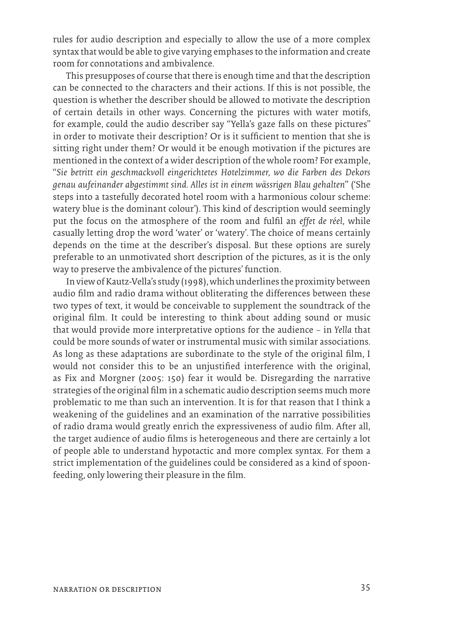rules for audio description and especially to allow the use of a more complex syntax that would be able to give varying emphases to the information and create room for connotations and ambivalence.

This presupposes of course that there is enough time and that the description can be connected to the characters and their actions. If this is not possible, the question is whether the describer should be allowed to motivate the description of certain details in other ways. Concerning the pictures with water motifs, for example, could the audio describer say "Yella's gaze falls on these pictures" in order to motivate their description? Or is it sufficient to mention that she is sitting right under them? Or would it be enough motivation if the pictures are mentioned in the context of a wider description of the whole room? For example, "*Sie betritt ein geschmackvoll eingerichtetes Hotelzimmer, wo die Farben des Dekors genau aufeinander abgestimmt sind. Alles ist in einem wässrigen Blau gehalten*" ('She steps into a tastefully decorated hotel room with a harmonious colour scheme: watery blue is the dominant colour'). This kind of description would seemingly put the focus on the atmosphere of the room and fulfil an *effet de réel*, while casually letting drop the word 'water' or 'watery'. The choice of means certainly depends on the time at the describer's disposal. But these options are surely preferable to an unmotivated short description of the pictures, as it is the only way to preserve the ambivalence of the pictures' function.

In view of Kautz-Vella's study (1998), which underlines the proximity between audio film and radio drama without obliterating the differences between these two types of text, it would be conceivable to supplement the soundtrack of the original film. It could be interesting to think about adding sound or music that would provide more interpretative options for the audience – in *Yella* that could be more sounds of water or instrumental music with similar associations. As long as these adaptations are subordinate to the style of the original film, I would not consider this to be an unjustified interference with the original, as Fix and Morgner (2005: 150) fear it would be. Disregarding the narrative strategies of the original film in a schematic audio description seems much more problematic to me than such an intervention. It is for that reason that I think a weakening of the guidelines and an examination of the narrative possibilities of radio drama would greatly enrich the expressiveness of audio film. After all, the target audience of audio films is heterogeneous and there are certainly a lot of people able to understand hypotactic and more complex syntax. For them a strict implementation of the guidelines could be considered as a kind of spoonfeeding, only lowering their pleasure in the film.